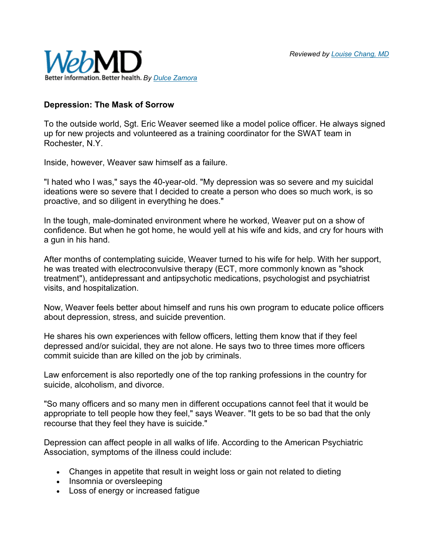

## **Depression: The Mask of Sorrow**

To the outside world, Sgt. Eric Weaver seemed like a model police officer. He always signed up for new projects and volunteered as a training coordinator for the SWAT team in Rochester, N.Y.

Inside, however, Weaver saw himself as a failure.

"I hated who I was," says the 40-year-old. "My depression was so severe and my suicidal ideations were so severe that I decided to create a person who does so much work, is so proactive, and so diligent in everything he does."

In the tough, male-dominated environment where he worked, Weaver put on a show of confidence. But when he got home, he would yell at his wife and kids, and cry for hours with a gun in his hand.

After months of contemplating suicide, Weaver turned to his wife for help. With her support, he was treated with electroconvulsive therapy (ECT, more commonly known as "shock treatment"), antidepressant and antipsychotic medications, psychologist and psychiatrist visits, and hospitalization.

Now, Weaver feels better about himself and runs his own program to educate police officers about depression, stress, and suicide prevention.

He shares his own experiences with fellow officers, letting them know that if they feel depressed and/or suicidal, they are not alone. He says two to three times more officers commit suicide than are killed on the job by criminals.

Law enforcement is also reportedly one of the top ranking professions in the country for suicide, alcoholism, and divorce.

"So many officers and so many men in different occupations cannot feel that it would be appropriate to tell people how they feel," says Weaver. "It gets to be so bad that the only recourse that they feel they have is suicide."

Depression can affect people in all walks of life. According to the American Psychiatric Association, symptoms of the illness could include:

- Changes in appetite that result in weight loss or gain not related to dieting
- Insomnia or oversleeping
- Loss of energy or increased fatigue